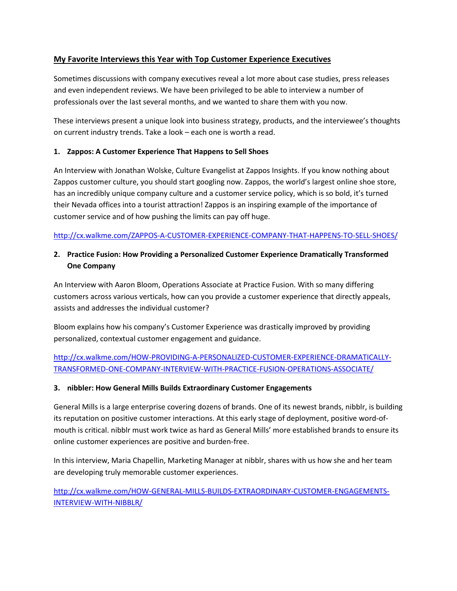# **My Favorite Interviews this Year with Top Customer Experience Executives**

Sometimes discussions with company executives reveal a lot more about case studies, press releases and even independent reviews. We have been privileged to be able to interview a number of professionals over the last several months, and we wanted to share them with you now.

These interviews present a unique look into business strategy, products, and the interviewee's thoughts on current industry trends. Take a look – each one is worth a read.

### **1. Zappos: A Customer Experience That Happens to Sell Shoes**

An Interview with Jonathan Wolske, Culture Evangelist at Zappos Insights. If you know nothing about Zappos customer culture, you should start googling now. Zappos, the world's largest online shoe store, has an incredibly unique company culture and a customer service policy, which is so bold, it's turned their Nevada offices into a tourist attraction! Zappos is an inspiring example of the importance of customer service and of how pushing the limits can pay off huge.

## <http://cx.walkme.com/ZAPPOS-A-CUSTOMER-EXPERIENCE-COMPANY-THAT-HAPPENS-TO-SELL-SHOES/>

# **2. Practice Fusion: How Providing a Personalized Customer Experience Dramatically Transformed One Company**

An Interview with Aaron Bloom, Operations Associate at Practice Fusion. With so many differing customers across various verticals, how can you provide a customer experience that directly appeals, assists and addresses the individual customer?

Bloom explains how his company's Customer Experience was drastically improved by providing personalized, contextual customer engagement and guidance.

[http://cx.walkme.com/HOW-PROVIDING-A-PERSONALIZED-CUSTOMER-EXPERIENCE-DRAMATICALLY-](http://cx.walkme.com/HOW-PROVIDING-A-PERSONALIZED-CUSTOMER-EXPERIENCE-DRAMATICALLY-TRANSFORMED-ONE-COMPANY-INTERVIEW-WITH-PRACTICE-FUSION-OPERATIONS-ASSOCIATE/)[TRANSFORMED-ONE-COMPANY-INTERVIEW-WITH-PRACTICE-FUSION-OPERATIONS-ASSOCIATE/](http://cx.walkme.com/HOW-PROVIDING-A-PERSONALIZED-CUSTOMER-EXPERIENCE-DRAMATICALLY-TRANSFORMED-ONE-COMPANY-INTERVIEW-WITH-PRACTICE-FUSION-OPERATIONS-ASSOCIATE/)

#### **3. nibbler: How General Mills Builds Extraordinary Customer Engagements**

General Mills is a large enterprise covering dozens of brands. One of its newest brands, nibblr, is building its reputation on positive customer interactions. At this early stage of deployment, positive word-ofmouth is critical. nibblr must work twice as hard as General Mills' more established brands to ensure its online customer experiences are positive and burden-free.

In this interview, Maria Chapellin, Marketing Manager at nibblr, shares with us how she and her team are developing truly memorable customer experiences.

[http://cx.walkme.com/HOW-GENERAL-MILLS-BUILDS-EXTRAORDINARY-CUSTOMER-ENGAGEMENTS-](http://cx.walkme.com/HOW-GENERAL-MILLS-BUILDS-EXTRAORDINARY-CUSTOMER-ENGAGEMENTS-INTERVIEW-WITH-NIBBLR/)[INTERVIEW-WITH-NIBBLR/](http://cx.walkme.com/HOW-GENERAL-MILLS-BUILDS-EXTRAORDINARY-CUSTOMER-ENGAGEMENTS-INTERVIEW-WITH-NIBBLR/)